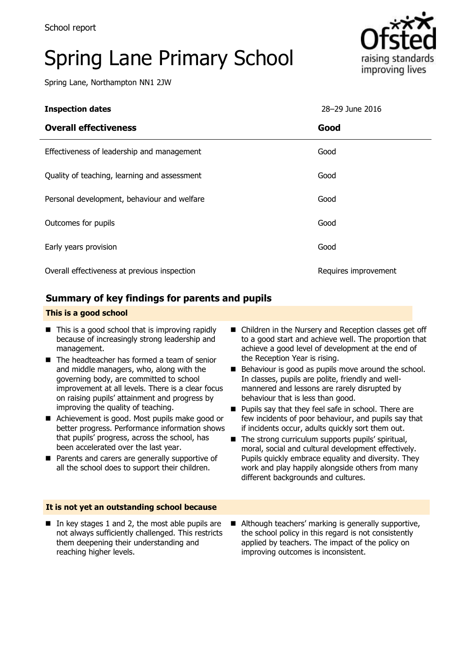# Spring Lane Primary School

Spring Lane, Northampton NN1 2JW



| <b>Inspection dates</b>                      | 28-29 June 2016      |
|----------------------------------------------|----------------------|
| <b>Overall effectiveness</b>                 | Good                 |
| Effectiveness of leadership and management   | Good                 |
| Quality of teaching, learning and assessment | Good                 |
| Personal development, behaviour and welfare  | Good                 |
| Outcomes for pupils                          | Good                 |
| Early years provision                        | Good                 |
| Overall effectiveness at previous inspection | Requires improvement |

### **Summary of key findings for parents and pupils**

#### **This is a good school**

- $\blacksquare$  This is a good school that is improving rapidly because of increasingly strong leadership and management.
- $\blacksquare$  The headteacher has formed a team of senior and middle managers, who, along with the governing body, are committed to school improvement at all levels. There is a clear focus on raising pupils' attainment and progress by improving the quality of teaching.
- Achievement is good. Most pupils make good or better progress. Performance information shows that pupils' progress, across the school, has been accelerated over the last year.
- **Parents and carers are generally supportive of** all the school does to support their children.
- Children in the Nursery and Reception classes get off to a good start and achieve well. The proportion that achieve a good level of development at the end of the Reception Year is rising.
- Behaviour is good as pupils move around the school. In classes, pupils are polite, friendly and wellmannered and lessons are rarely disrupted by behaviour that is less than good.
- **Pupils say that they feel safe in school. There are** few incidents of poor behaviour, and pupils say that if incidents occur, adults quickly sort them out.
- $\blacksquare$  The strong curriculum supports pupils' spiritual, moral, social and cultural development effectively. Pupils quickly embrace equality and diversity. They work and play happily alongside others from many different backgrounds and cultures.

#### **It is not yet an outstanding school because**

- In key stages 1 and 2, the most able pupils are not always sufficiently challenged. This restricts them deepening their understanding and reaching higher levels.
- Although teachers' marking is generally supportive, the school policy in this regard is not consistently applied by teachers. The impact of the policy on improving outcomes is inconsistent.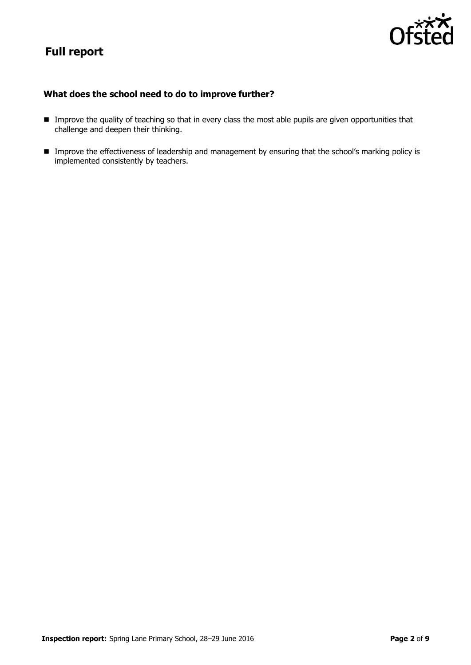# **Full report**



#### **What does the school need to do to improve further?**

- **Improve the quality of teaching so that in every class the most able pupils are given opportunities that** challenge and deepen their thinking.
- **Improve the effectiveness of leadership and management by ensuring that the school's marking policy is** implemented consistently by teachers.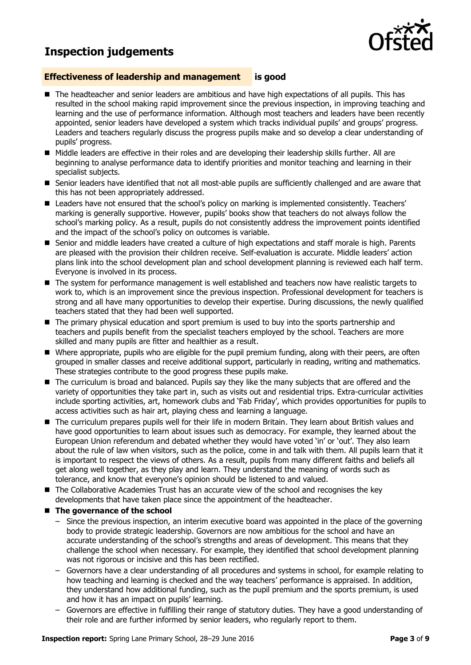## **Inspection judgements**



#### **Effectiveness of leadership and management is good**

- The headteacher and senior leaders are ambitious and have high expectations of all pupils. This has resulted in the school making rapid improvement since the previous inspection, in improving teaching and learning and the use of performance information. Although most teachers and leaders have been recently appointed, senior leaders have developed a system which tracks individual pupils' and groups' progress. Leaders and teachers regularly discuss the progress pupils make and so develop a clear understanding of pupils' progress.
- Middle leaders are effective in their roles and are developing their leadership skills further. All are beginning to analyse performance data to identify priorities and monitor teaching and learning in their specialist subjects.
- Senior leaders have identified that not all most-able pupils are sufficiently challenged and are aware that this has not been appropriately addressed.
- **E** Leaders have not ensured that the school's policy on marking is implemented consistently. Teachers' marking is generally supportive. However, pupils' books show that teachers do not always follow the school's marking policy. As a result, pupils do not consistently address the improvement points identified and the impact of the school's policy on outcomes is variable.
- Senior and middle leaders have created a culture of high expectations and staff morale is high. Parents are pleased with the provision their children receive. Self-evaluation is accurate. Middle leaders' action plans link into the school development plan and school development planning is reviewed each half term. Everyone is involved in its process.
- The system for performance management is well established and teachers now have realistic targets to work to, which is an improvement since the previous inspection. Professional development for teachers is strong and all have many opportunities to develop their expertise. During discussions, the newly qualified teachers stated that they had been well supported.
- The primary physical education and sport premium is used to buy into the sports partnership and teachers and pupils benefit from the specialist teachers employed by the school. Teachers are more skilled and many pupils are fitter and healthier as a result.
- Where appropriate, pupils who are eligible for the pupil premium funding, along with their peers, are often grouped in smaller classes and receive additional support, particularly in reading, writing and mathematics. These strategies contribute to the good progress these pupils make.
- The curriculum is broad and balanced. Pupils say they like the many subjects that are offered and the variety of opportunities they take part in, such as visits out and residential trips. Extra-curricular activities include sporting activities, art, homework clubs and 'Fab Friday', which provides opportunities for pupils to access activities such as hair art, playing chess and learning a language.
- The curriculum prepares pupils well for their life in modern Britain. They learn about British values and have good opportunities to learn about issues such as democracy. For example, they learned about the European Union referendum and debated whether they would have voted 'in' or 'out'. They also learn about the rule of law when visitors, such as the police, come in and talk with them. All pupils learn that it is important to respect the views of others. As a result, pupils from many different faiths and beliefs all get along well together, as they play and learn. They understand the meaning of words such as tolerance, and know that everyone's opinion should be listened to and valued.
- The Collaborative Academies Trust has an accurate view of the school and recognises the key developments that have taken place since the appointment of the headteacher.
- The governance of the school
	- Since the previous inspection, an interim executive board was appointed in the place of the governing body to provide strategic leadership. Governors are now ambitious for the school and have an accurate understanding of the school's strengths and areas of development. This means that they challenge the school when necessary. For example, they identified that school development planning was not rigorous or incisive and this has been rectified.
	- Governors have a clear understanding of all procedures and systems in school, for example relating to how teaching and learning is checked and the way teachers' performance is appraised. In addition, they understand how additional funding, such as the pupil premium and the sports premium, is used and how it has an impact on pupils' learning.
	- Governors are effective in fulfilling their range of statutory duties. They have a good understanding of their role and are further informed by senior leaders, who regularly report to them.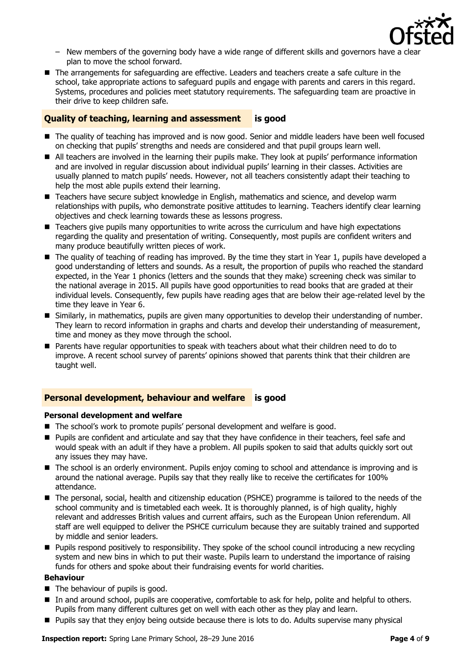

- New members of the governing body have a wide range of different skills and governors have a clear plan to move the school forward.
- The arrangements for safeguarding are effective. Leaders and teachers create a safe culture in the school, take appropriate actions to safeguard pupils and engage with parents and carers in this regard. Systems, procedures and policies meet statutory requirements. The safeguarding team are proactive in their drive to keep children safe.

#### **Quality of teaching, learning and assessment is good**

- The quality of teaching has improved and is now good. Senior and middle leaders have been well focused on checking that pupils' strengths and needs are considered and that pupil groups learn well.
- All teachers are involved in the learning their pupils make. They look at pupils' performance information and are involved in regular discussion about individual pupils' learning in their classes. Activities are usually planned to match pupils' needs. However, not all teachers consistently adapt their teaching to help the most able pupils extend their learning.
- Teachers have secure subject knowledge in English, mathematics and science, and develop warm relationships with pupils, who demonstrate positive attitudes to learning. Teachers identify clear learning objectives and check learning towards these as lessons progress.
- **E** Teachers give pupils many opportunities to write across the curriculum and have high expectations regarding the quality and presentation of writing. Consequently, most pupils are confident writers and many produce beautifully written pieces of work.
- The quality of teaching of reading has improved. By the time they start in Year 1, pupils have developed a good understanding of letters and sounds. As a result, the proportion of pupils who reached the standard expected, in the Year 1 phonics (letters and the sounds that they make) screening check was similar to the national average in 2015. All pupils have good opportunities to read books that are graded at their individual levels. Consequently, few pupils have reading ages that are below their age-related level by the time they leave in Year 6.
- Similarly, in mathematics, pupils are given many opportunities to develop their understanding of number. They learn to record information in graphs and charts and develop their understanding of measurement, time and money as they move through the school.
- Parents have regular opportunities to speak with teachers about what their children need to do to improve. A recent school survey of parents' opinions showed that parents think that their children are taught well.

#### **Personal development, behaviour and welfare is good**

#### **Personal development and welfare**

- The school's work to promote pupils' personal development and welfare is good.
- **Pupils are confident and articulate and say that they have confidence in their teachers, feel safe and** would speak with an adult if they have a problem. All pupils spoken to said that adults quickly sort out any issues they may have.
- The school is an orderly environment. Pupils enjoy coming to school and attendance is improving and is around the national average. Pupils say that they really like to receive the certificates for 100% attendance.
- The personal, social, health and citizenship education (PSHCE) programme is tailored to the needs of the school community and is timetabled each week. It is thoroughly planned, is of high quality, highly relevant and addresses British values and current affairs, such as the European Union referendum. All staff are well equipped to deliver the PSHCE curriculum because they are suitably trained and supported by middle and senior leaders.
- **Pupils respond positively to responsibility. They spoke of the school council introducing a new recycling** system and new bins in which to put their waste. Pupils learn to understand the importance of raising funds for others and spoke about their fundraising events for world charities.

#### **Behaviour**

- $\blacksquare$  The behaviour of pupils is good.
- In and around school, pupils are cooperative, comfortable to ask for help, polite and helpful to others. Pupils from many different cultures get on well with each other as they play and learn.
- Pupils say that they enjoy being outside because there is lots to do. Adults supervise many physical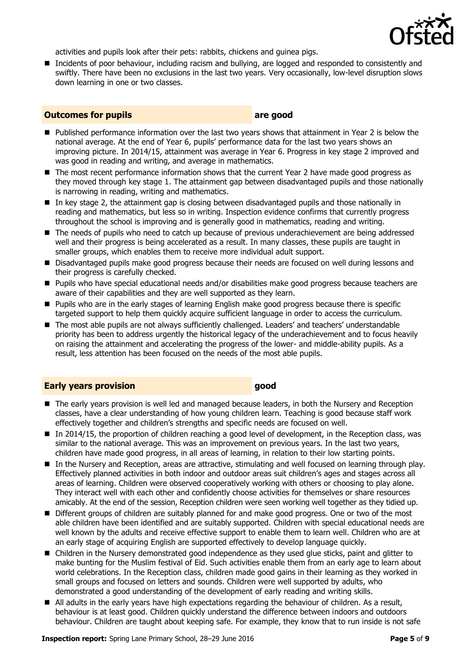

activities and pupils look after their pets: rabbits, chickens and guinea pigs.

■ Incidents of poor behaviour, including racism and bullying, are logged and responded to consistently and swiftly. There have been no exclusions in the last two years. Very occasionally, low-level disruption slows down learning in one or two classes.

#### **Outcomes for pupils are good**

- **Published performance information over the last two years shows that attainment in Year 2 is below the** national average. At the end of Year 6, pupils' performance data for the last two years shows an improving picture. In 2014/15, attainment was average in Year 6. Progress in key stage 2 improved and was good in reading and writing, and average in mathematics.
- The most recent performance information shows that the current Year 2 have made good progress as they moved through key stage 1. The attainment gap between disadvantaged pupils and those nationally is narrowing in reading, writing and mathematics.
- In key stage 2, the attainment gap is closing between disadvantaged pupils and those nationally in reading and mathematics, but less so in writing. Inspection evidence confirms that currently progress throughout the school is improving and is generally good in mathematics, reading and writing.
- The needs of pupils who need to catch up because of previous underachievement are being addressed well and their progress is being accelerated as a result. In many classes, these pupils are taught in smaller groups, which enables them to receive more individual adult support.
- **Disadvantaged pupils make good progress because their needs are focused on well during lessons and** their progress is carefully checked.
- Pupils who have special educational needs and/or disabilities make good progress because teachers are aware of their capabilities and they are well supported as they learn.
- **Pupils who are in the early stages of learning English make good progress because there is specific** targeted support to help them quickly acquire sufficient language in order to access the curriculum.
- The most able pupils are not always sufficiently challenged. Leaders' and teachers' understandable priority has been to address urgently the historical legacy of the underachievement and to focus heavily on raising the attainment and accelerating the progress of the lower- and middle-ability pupils. As a result, less attention has been focused on the needs of the most able pupils.

#### **Early years provision good good**

- The early years provision is well led and managed because leaders, in both the Nursery and Reception classes, have a clear understanding of how young children learn. Teaching is good because staff work effectively together and children's strengths and specific needs are focused on well.
- In 2014/15, the proportion of children reaching a good level of development, in the Reception class, was similar to the national average. This was an improvement on previous years. In the last two years, children have made good progress, in all areas of learning, in relation to their low starting points.
- In the Nursery and Reception, areas are attractive, stimulating and well focused on learning through play. Effectively planned activities in both indoor and outdoor areas suit children's ages and stages across all areas of learning. Children were observed cooperatively working with others or choosing to play alone. They interact well with each other and confidently choose activities for themselves or share resources amicably. At the end of the session, Reception children were seen working well together as they tidied up.
- Different groups of children are suitably planned for and make good progress. One or two of the most able children have been identified and are suitably supported. Children with special educational needs are well known by the adults and receive effective support to enable them to learn well. Children who are at an early stage of acquiring English are supported effectively to develop language quickly.
- Children in the Nursery demonstrated good independence as they used glue sticks, paint and glitter to make bunting for the Muslim festival of Eid. Such activities enable them from an early age to learn about world celebrations. In the Reception class, children made good gains in their learning as they worked in small groups and focused on letters and sounds. Children were well supported by adults, who demonstrated a good understanding of the development of early reading and writing skills.
- All adults in the early years have high expectations regarding the behaviour of children. As a result, behaviour is at least good. Children quickly understand the difference between indoors and outdoors behaviour. Children are taught about keeping safe. For example, they know that to run inside is not safe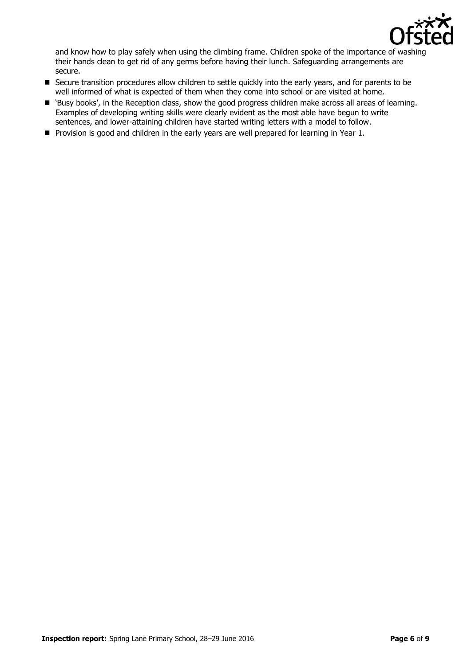

and know how to play safely when using the climbing frame. Children spoke of the importance of washing their hands clean to get rid of any germs before having their lunch. Safeguarding arrangements are secure.

- Secure transition procedures allow children to settle quickly into the early years, and for parents to be well informed of what is expected of them when they come into school or are visited at home.
- 'Busy books', in the Reception class, show the good progress children make across all areas of learning. Examples of developing writing skills were clearly evident as the most able have begun to write sentences, and lower-attaining children have started writing letters with a model to follow.
- **Provision is good and children in the early years are well prepared for learning in Year 1.**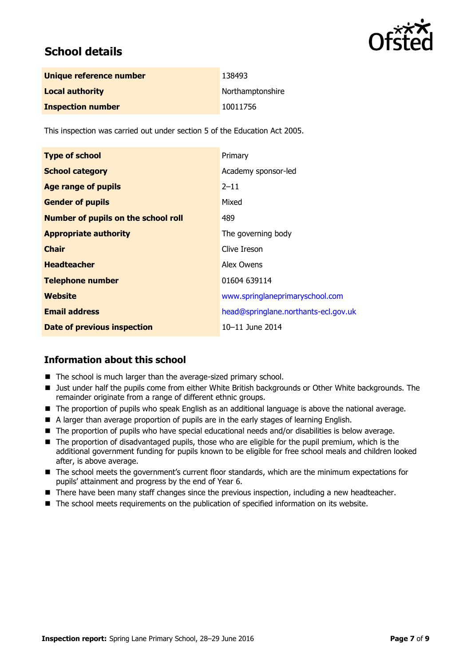

# **School details**

| Unique reference number  | 138493           |
|--------------------------|------------------|
| <b>Local authority</b>   | Northamptonshire |
| <b>Inspection number</b> | 10011756         |

This inspection was carried out under section 5 of the Education Act 2005.

| <b>Type of school</b>                      | Primary                              |
|--------------------------------------------|--------------------------------------|
| <b>School category</b>                     | Academy sponsor-led                  |
| <b>Age range of pupils</b>                 | $2 - 11$                             |
| <b>Gender of pupils</b>                    | Mixed                                |
| <b>Number of pupils on the school roll</b> | 489                                  |
| <b>Appropriate authority</b>               | The governing body                   |
| <b>Chair</b>                               | Clive Ireson                         |
| <b>Headteacher</b>                         | Alex Owens                           |
| <b>Telephone number</b>                    | 01604 639114                         |
| Website                                    | www.springlaneprimaryschool.com      |
| <b>Email address</b>                       | head@springlane.northants-ecl.gov.uk |
| Date of previous inspection                | 10-11 June 2014                      |

#### **Information about this school**

- The school is much larger than the average-sized primary school.
- If Just under half the pupils come from either White British backgrounds or Other White backgrounds. The remainder originate from a range of different ethnic groups.
- The proportion of pupils who speak English as an additional language is above the national average.
- A larger than average proportion of pupils are in the early stages of learning English.
- The proportion of pupils who have special educational needs and/or disabilities is below average.
- The proportion of disadvantaged pupils, those who are eligible for the pupil premium, which is the additional government funding for pupils known to be eligible for free school meals and children looked after, is above average.
- The school meets the government's current floor standards, which are the minimum expectations for pupils' attainment and progress by the end of Year 6.
- There have been many staff changes since the previous inspection, including a new headteacher.
- The school meets requirements on the publication of specified information on its website.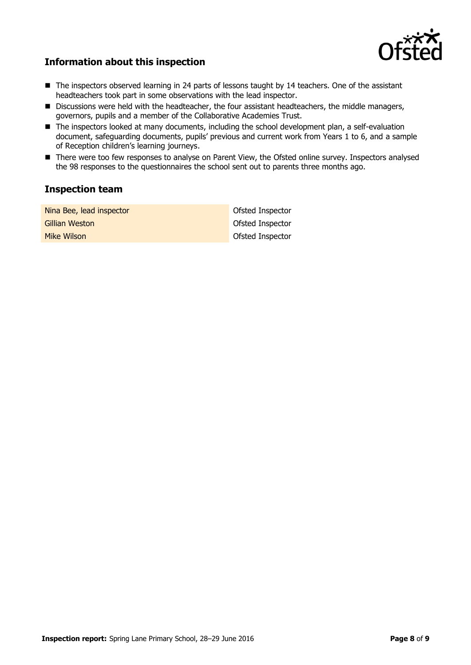

### **Information about this inspection**

- The inspectors observed learning in 24 parts of lessons taught by 14 teachers. One of the assistant headteachers took part in some observations with the lead inspector.
- Discussions were held with the headteacher, the four assistant headteachers, the middle managers, governors, pupils and a member of the Collaborative Academies Trust.
- The inspectors looked at many documents, including the school development plan, a self-evaluation document, safeguarding documents, pupils' previous and current work from Years 1 to 6, and a sample of Reception children's learning journeys.
- There were too few responses to analyse on Parent View, the Ofsted online survey. Inspectors analysed the 98 responses to the questionnaires the school sent out to parents three months ago.

#### **Inspection team**

| Nina Bee, lead inspector | Ofsted Inspector |
|--------------------------|------------------|
| Gillian Weston           | Ofsted Inspector |
| <b>Mike Wilson</b>       | Ofsted Inspector |